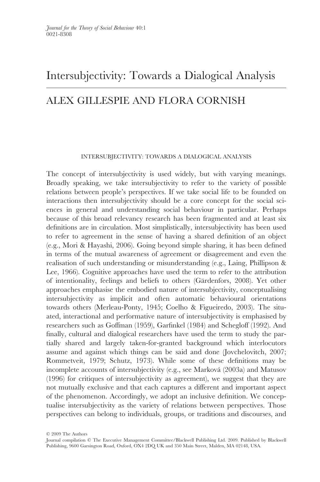# Intersubjectivity: Towards a Dialogical Analysis

# ALEX GILLESPIE AND FLORA CORNISH

## INTERSUBJECTIVITY: TOWARDS A DIALOGICAL ANALYSIS

The concept of intersubjectivity is used widely, but with varying meanings. Broadly speaking, we take intersubjectivity to refer to the variety of possible relations between people's perspectives. If we take social life to be founded on interactions then intersubjectivity should be a core concept for the social sciences in general and understanding social behaviour in particular. Perhaps because of this broad relevancy research has been fragmented and at least six definitions are in circulation. Most simplistically, intersubjectivity has been used to refer to agreement in the sense of having a shared definition of an object (e.g., Mori & Hayashi, 2006). Going beyond simple sharing, it has been defined in terms of the mutual awareness of agreement or disagreement and even the realisation of such understanding or misunderstanding (e.g., Laing, Phillipson & Lee, 1966). Cognitive approaches have used the term to refer to the attribution of intentionality, feelings and beliefs to others (Gärdenfors, 2008). Yet other approaches emphasise the embodied nature of intersubjectivity, conceptualising intersubjectivity as implicit and often automatic behavioural orientations towards others (Merleau-Ponty, 1945; Coelho & Figueiredo, 2003). The situated, interactional and performative nature of intersubjectivity is emphasised by researchers such as Goffman (1959), Garfinkel (1984) and Schegloff (1992). And finally, cultural and dialogical researchers have used the term to study the partially shared and largely taken-for-granted background which interlocutors assume and against which things can be said and done (Jovchelovitch, 2007; Rommetveit, 1979; Schutz, 1973). While some of these definitions may be incomplete accounts of intersubjectivity (e.g., see Marková (2003a) and Matusov (1996) for critiques of intersubjectivity as agreement), we suggest that they are not mutually exclusive and that each captures a different and important aspect of the phenomenon. Accordingly, we adopt an inclusive definition. We conceptualise intersubjectivity as the variety of relations between perspectives. Those perspectives can belong to individuals, groups, or traditions and discourses, and

Journal compilation © The Executive Management Committee/Blackwell Publishing Ltd. 2009. Published by Blackwell Publishing, 9600 Garsington Road, Oxford, OX4 2DQ UK and 350 Main Street, Malden, MA 02148, USA.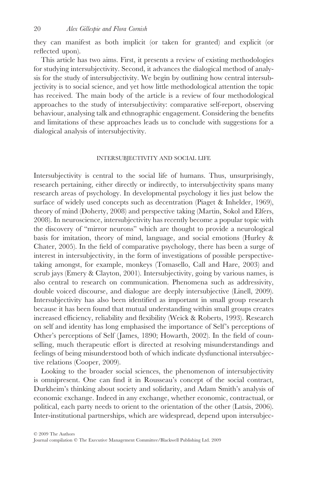they can manifest as both implicit (or taken for granted) and explicit (or reflected upon).

This article has two aims. First, it presents a review of existing methodologies for studying intersubjectivity. Second, it advances the dialogical method of analysis for the study of intersubjectivity. We begin by outlining how central intersubjectivity is to social science, and yet how little methodological attention the topic has received. The main body of the article is a review of four methodological approaches to the study of intersubjectivity: comparative self-report, observing behaviour, analysing talk and ethnographic engagement. Considering the benefits and limitations of these approaches leads us to conclude with suggestions for a dialogical analysis of intersubjectivity.

#### INTERSUBJECTIVITY AND SOCIAL LIFE

Intersubjectivity is central to the social life of humans. Thus, unsurprisingly, research pertaining, either directly or indirectly, to intersubjectivity spans many research areas of psychology. In developmental psychology it lies just below the surface of widely used concepts such as decentration (Piaget & Inhelder, 1969), theory of mind (Doherty, 2008) and perspective taking (Martin, Sokol and Elfers, 2008). In neuroscience, intersubjectivity has recently become a popular topic with the discovery of "mirror neurons" which are thought to provide a neurological basis for imitation, theory of mind, language, and social emotions (Hurley & Chater, 2005). In the field of comparative psychology, there has been a surge of interest in intersubjectivity, in the form of investigations of possible perspectivetaking amongst, for example, monkeys (Tomasello, Call and Hare, 2003) and scrub jays (Emery & Clayton, 2001). Intersubjectivity, going by various names, is also central to research on communication. Phenomena such as addressivity, double voiced discourse, and dialogue are deeply intersubjective (Linell, 2009). Intersubjectivity has also been identified as important in small group research because it has been found that mutual understanding within small groups creates increased efficiency, reliability and flexibility (Weick & Roberts, 1993). Research on self and identity has long emphasised the importance of Self's perceptions of Other's perceptions of Self (James, 1890; Howarth, 2002). In the field of counselling, much therapeutic effort is directed at resolving misunderstandings and feelings of being misunderstood both of which indicate dysfunctional intersubjective relations (Cooper, 2009).

Looking to the broader social sciences, the phenomenon of intersubjectivity is omnipresent. One can find it in Rousseau's concept of the social contract, Durkheim's thinking about society and solidarity, and Adam Smith's analysis of economic exchange. Indeed in any exchange, whether economic, contractual, or political, each party needs to orient to the orientation of the other (Latsis, 2006). Inter-institutional partnerships, which are widespread, depend upon intersubjec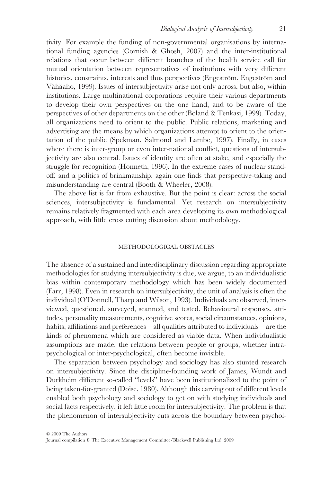tivity. For example the funding of non-governmental organisations by international funding agencies (Cornish & Ghosh, 2007) and the inter-institutional relations that occur between different branches of the health service call for mutual orientation between representatives of institutions with very different histories, constraints, interests and thus perspectives (Engeström, Engeström and Vähäaho, 1999). Issues of intersubjectivity arise not only across, but also, within institutions. Large multinational corporations require their various departments to develop their own perspectives on the one hand, and to be aware of the perspectives of other departments on the other (Boland & Tenkasi, 1999). Today, all organizations need to orient to the public. Public relations, marketing and advertising are the means by which organizations attempt to orient to the orientation of the public (Spekman, Salmond and Lambe, 1997). Finally, in cases where there is inter-group or even inter-national conflict, questions of intersubjectivity are also central. Issues of identity are often at stake, and especially the struggle for recognition (Honneth, 1996). In the extreme cases of nuclear standoff, and a politics of brinkmanship, again one finds that perspective-taking and misunderstanding are central (Booth & Wheeler, 2008).

The above list is far from exhaustive. But the point is clear: across the social sciences, intersubjectivity is fundamental. Yet research on intersubjectivity remains relatively fragmented with each area developing its own methodological approach, with little cross cutting discussion about methodology.

#### METHODOLOGICAL OBSTACLES

The absence of a sustained and interdisciplinary discussion regarding appropriate methodologies for studying intersubjectivity is due, we argue, to an individualistic bias within contemporary methodology which has been widely documented (Farr, 1998). Even in research on intersubjectivity, the unit of analysis is often the individual (O'Donnell, Tharp and Wilson, 1993). Individuals are observed, interviewed, questioned, surveyed, scanned, and tested. Behavioural responses, attitudes, personality measurements, cognitive scores, social circumstances, opinions, habits, affiliations and preferences—all qualities attributed to individuals—are the kinds of phenomena which are considered as viable data. When individualistic assumptions are made, the relations between people or groups, whether intrapsychological or inter-psychological, often become invisible.

The separation between psychology and sociology has also stunted research on intersubjectivity. Since the discipline-founding work of James, Wundt and Durkheim different so-called "levels" have been institutionalized to the point of being taken-for-granted (Doise, 1980). Although this carving out of different levels enabled both psychology and sociology to get on with studying individuals and social facts respectively, it left little room for intersubjectivity. The problem is that the phenomenon of intersubjectivity cuts across the boundary between psychol-

© 2009 The Authors Journal compilation © The Executive Management Committee/Blackwell Publishing Ltd. 2009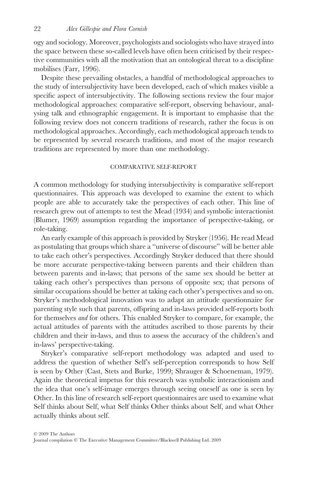ogy and sociology. Moreover, psychologists and sociologists who have strayed into the space between these so-called levels have often been criticised by their respective communities with all the motivation that an ontological threat to a discipline mobilises (Farr, 1996).

Despite these prevailing obstacles, a handful of methodological approaches to the study of intersubjectivity have been developed, each of which makes visible a specific aspect of intersubjectivity. The following sections review the four major methodological approaches: comparative self-report, observing behaviour, analysing talk and ethnographic engagement. It is important to emphasise that the following review does not concern traditions of research, rather the focus is on methodological approaches. Accordingly, each methodological approach tends to be represented by several research traditions, and most of the major research traditions are represented by more than one methodology.

# COMPARATIVE SELF-REPORT

A common methodology for studying intersubjectivity is comparative self-report questionnaires. This approach was developed to examine the extent to which people are able to accurately take the perspectives of each other. This line of research grew out of attempts to test the Mead (1934) and symbolic interactionist (Blumer, 1969) assumption regarding the importance of perspective-taking, or role-taking.

An early example of this approach is provided by Stryker (1956). He read Mead as postulating that groups which share a "universe of discourse" will be better able to take each other's perspectives. Accordingly Stryker deduced that there should be more accurate perspective-taking between parents and their children than between parents and in-laws; that persons of the same sex should be better at taking each other's perspectives than persons of opposite sex; that persons of similar occupations should be better at taking each other's perspectives and so on. Stryker's methodological innovation was to adapt an attitude questionnaire for parenting style such that parents, offspring and in-laws provided self-reports both for themselves *and* for others. This enabled Stryker to compare, for example, the actual attitudes of parents with the attitudes ascribed to those parents by their children and their in-laws, and thus to assess the accuracy of the children's and in-laws' perspective-taking.

Stryker's comparative self-report methodology was adapted and used to address the question of whether Self's self-perception corresponds to how Self is seen by Other (Cast, Stets and Burke, 1999; Shrauger & Schoeneman, 1979). Again the theoretical impetus for this research was symbolic interactionism and the idea that one's self-image emerges through seeing oneself as one is seen by Other. In this line of research self-report questionnaires are used to examine what Self thinks about Self, what Self thinks Other thinks about Self, and what Other actually thinks about self.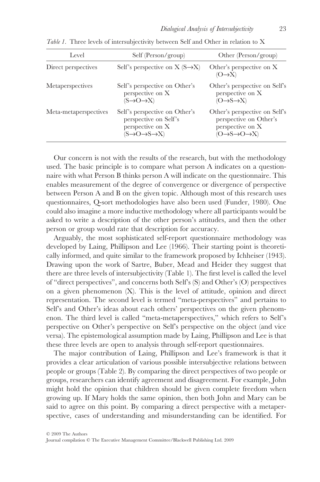| Level                   | Self (Person/group)                                                                                                          | Other (Person/group)                                                                                                           |
|-------------------------|------------------------------------------------------------------------------------------------------------------------------|--------------------------------------------------------------------------------------------------------------------------------|
| Direct perspectives     | Self's perspective on X $(S\rightarrow X)$                                                                                   | Other's perspective on X<br>$(O \rightarrow X)$                                                                                |
| <b>Metaperspectives</b> | Self's perspective on Other's<br>perspective on X<br>$(S\rightarrow O\rightarrow X)$                                         | Other's perspective on Self's<br>perspective on X<br>$(O \rightarrow S \rightarrow X)$                                         |
| Meta-metaperspectives   | Self's perspective on Other's<br>perspective on Self's<br>perspective on X<br>$(S\rightarrow O \rightarrow S \rightarrow X)$ | Other's perspective on Self's<br>perspective on Other's<br>perspective on X<br>$(O \rightarrow S \rightarrow O \rightarrow X)$ |

*Table 1.* Three levels of intersubjectivity between Self and Other in relation to X

Our concern is not with the results of the research, but with the methodology used. The basic principle is to compare what person A indicates on a questionnaire with what Person B thinks person A will indicate on the questionnaire. This enables measurement of the degree of convergence or divergence of perspective between Person A and B on the given topic. Although most of this research uses questionnaires, Q-sort methodologies have also been used (Funder, 1980). One could also imagine a more inductive methodology where all participants would be asked to write a description of the other person's attitudes, and then the other person or group would rate that description for accuracy.

Arguably, the most sophisticated self-report questionnaire methodology was developed by Laing, Phillipson and Lee (1966). Their starting point is theoretically informed, and quite similar to the framework proposed by Ichheiser (1943). Drawing upon the work of Sartre, Buber, Mead and Heider they suggest that there are three levels of intersubjectivity (Table 1). The first level is called the level of "direct perspectives", and concerns both Self's (S) and Other's (O) perspectives on a given phenomenon (X). This is the level of attitude, opinion and direct representation. The second level is termed "meta-perspectives" and pertains to Self's and Other's ideas about each others' perspectives on the given phenomenon. The third level is called "meta-metaperspectives," which refers to Self's perspective on Other's perspective on Self's perspective on the object (and vice versa). The epistemological assumption made by Laing, Phillipson and Lee is that these three levels are open to analysis through self-report questionnaires.

The major contribution of Laing, Phillipson and Lee's framework is that it provides a clear articulation of various possible intersubjective relations between people or groups (Table 2). By comparing the direct perspectives of two people or groups, researchers can identify agreement and disagreement. For example, John might hold the opinion that children should be given complete freedom when growing up. If Mary holds the same opinion, then both John and Mary can be said to agree on this point. By comparing a direct perspective with a metaperspective, cases of understanding and misunderstanding can be identified. For

© 2009 The Authors Journal compilation © The Executive Management Committee/Blackwell Publishing Ltd. 2009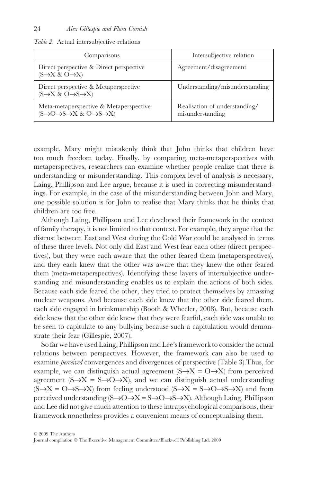| Comparisons                                                                                                               | Intersubjective relation                          |
|---------------------------------------------------------------------------------------------------------------------------|---------------------------------------------------|
| Direct perspective & Direct perspective<br>$(S\rightarrow X \& O\rightarrow X)$                                           | Agreement/disagreement                            |
| Direct perspective & Metaperspective<br>$(S\rightarrow X \& O\rightarrow S\rightarrow X)$                                 | Understanding/misunderstanding                    |
| Meta-metaperspective & Metaperspective<br>$(S\rightarrow O \rightarrow S \rightarrow X \& O \rightarrow S \rightarrow X)$ | Realisation of understanding/<br>misunderstanding |

*Table 2.* Actual intersubjective relations

example, Mary might mistakenly think that John thinks that children have too much freedom today. Finally, by comparing meta-metaperspectives with metaperspectives, researchers can examine whether people realize that there is understanding or misunderstanding. This complex level of analysis is necessary, Laing, Phillipson and Lee argue, because it is used in correcting misunderstandings. For example, in the case of the misunderstanding between John and Mary, one possible solution is for John to realise that Mary thinks that he thinks that children are too free.

Although Laing, Phillipson and Lee developed their framework in the context of family therapy, it is not limited to that context. For example, they argue that the distrust between East and West during the Cold War could be analysed in terms of these three levels. Not only did East and West fear each other (direct perspectives), but they were each aware that the other feared them (metaperspectives), and they each knew that the other was aware that they knew the other feared them (meta-metaperspectives). Identifying these layers of intersubjective understanding and misunderstanding enables us to explain the actions of both sides. Because each side feared the other, they tried to protect themselves by amassing nuclear weapons. And because each side knew that the other side feared them, each side engaged in brinkmanship (Booth & Wheeler, 2008). But, because each side knew that the other side knew that they were fearful, each side was unable to be seen to capitulate to any bullying because such a capitulation would demonstrate their fear (Gillespie, 2007).

So far we have used Laing, Phillipson and Lee's framework to consider the actual relations between perspectives. However, the framework can also be used to examine *perceived* convergences and divergences of perspective (Table 3).Thus, for example, we can distinguish actual agreement  $(S \rightarrow X = O \rightarrow X)$  from perceived agreement ( $S \rightarrow X = S \rightarrow O \rightarrow X$ ), and we can distinguish actual understanding  $(S\rightarrow X = O\rightarrow S\rightarrow X)$  from feeling understood  $(S\rightarrow X = S\rightarrow O\rightarrow S\rightarrow X)$  and from perceived understanding  $(S\rightarrow O\rightarrow X=S\rightarrow O\rightarrow S\rightarrow X)$ . Although Laing, Phillipson and Lee did not give much attention to these intrapsychological comparisons, their framework nonetheless provides a convenient means of conceptualising them.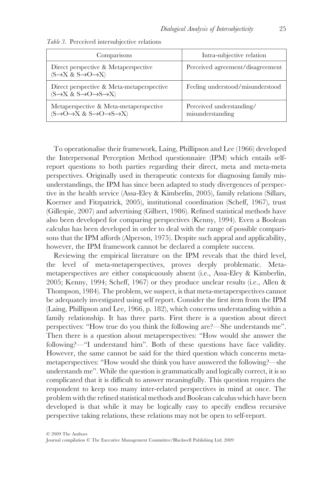| Comparisons                                                                                                              | Intra-subjective relation                    |  |
|--------------------------------------------------------------------------------------------------------------------------|----------------------------------------------|--|
| Direct perspective & Metaperspective<br>$(S\rightarrow X & S\rightarrow O\rightarrow X)$                                 | Perceived agreement/disagreement             |  |
| Direct perspective & Meta-metaperspective<br>$(S\rightarrow X & S\rightarrow O \rightarrow S \rightarrow X)$             | Feeling understood/misunderstood             |  |
| Metaperspective & Meta-metaperspective<br>$(S\rightarrow O \rightarrow X \& S\rightarrow O \rightarrow S \rightarrow X)$ | Perceived understanding/<br>misunderstanding |  |

*Table 3.* Perceived intersubjective relations

To operationalise their framework, Laing, Phillipson and Lee (1966) developed the Interpersonal Perception Method questionnaire (IPM) which entails selfreport questions to both parties regarding their direct, meta and meta-meta perspectives. Originally used in therapeutic contexts for diagnosing family misunderstandings, the IPM has since been adapted to study divergences of perspective in the health service (Assa-Eley & Kimberlin, 2005), family relations (Sillars, Koerner and Fitzpatrick, 2005), institutional coordination (Scheff, 1967), trust (Gillespie, 2007) and advertising (Gilbert, 1986). Refined statistical methods have also been developed for comparing perspectives (Kenny, 1994). Even a Boolean calculus has been developed in order to deal with the range of possible comparisons that the IPM affords (Alperson, 1975). Despite such appeal and applicability, however, the IPM framework cannot be declared a complete success.

Reviewing the empirical literature on the IPM reveals that the third level, the level of meta-metaperspectives, proves deeply problematic. Metametaperspectives are either conspicuously absent (i.e., Assa-Eley & Kimberlin, 2005; Kenny, 1994; Scheff, 1967) or they produce unclear results (i.e., Allen & Thompson, 1984). The problem, we suspect, is that meta-metaperspectives cannot be adequately investigated using self report. Consider the first item from the IPM (Laing, Phillipson and Lee, 1966, p. 182), which concerns understanding within a family relationship. It has three parts. First there is a question about direct perspectives: "How true do you think the following are?—She understands me". Then there is a question about metaperspectives: "How would she answer the following?—"I understand him". Both of these questions have face validity. However, the same cannot be said for the third question which concerns metametaperspectives: "How would she think you have answered the following?—she understands me". While the question is grammatically and logically correct, it is so complicated that it is difficult to answer meaningfully. This question requires the respondent to keep too many inter-related perspectives in mind at once. The problem with the refined statistical methods and Boolean calculus which have been developed is that while it may be logically easy to specify endless recursive perspective taking relations, these relations may not be open to self-report.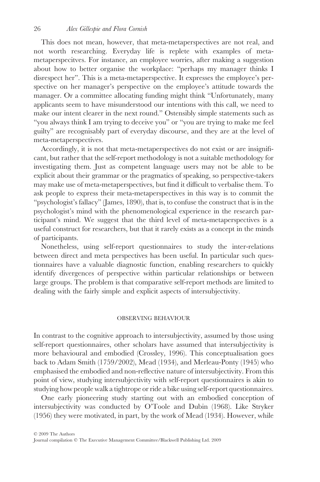This does not mean, however, that meta-metaperspectives are not real, and not worth researching. Everyday life is replete with examples of metametaperspecitves. For instance, an employee worries, after making a suggestion about how to better organise the workplace: "perhaps my manager thinks I disrespect her". This is a meta-metaperspective. It expresses the employee's perspective on her manager's perspective on the employee's attitude towards the manager. Or a committee allocating funding might think "Unfortunately, many applicants seem to have misunderstood our intentions with this call, we need to make our intent clearer in the next round." Ostensibly simple statements such as "you always think I am trying to deceive you" or "you are trying to make me feel guilty" are recognisably part of everyday discourse, and they are at the level of meta-metaperspectives.

Accordingly, it is not that meta-metaperspectives do not exist or are insignificant, but rather that the self-report methodology is not a suitable methodology for investigating them. Just as competent language users may not be able to be explicit about their grammar or the pragmatics of speaking, so perspective-takers may make use of meta-metaperspectives, but find it difficult to verbalise them. To ask people to express their meta-metaperspectives in this way is to commit the "psychologist's fallacy" (James, 1890), that is, to confuse the construct that is in the psychologist's mind with the phenomenological experience in the research participant's mind. We suggest that the third level of meta-metaperspectives is a useful construct for researchers, but that it rarely exists as a concept in the minds of participants.

Nonetheless, using self-report questionnaires to study the inter-relations between direct and meta perspectives has been useful. In particular such questionnaires have a valuable diagnostic function, enabling researchers to quickly identify divergences of perspective within particular relationships or between large groups. The problem is that comparative self-report methods are limited to dealing with the fairly simple and explicit aspects of intersubjectivity.

#### OBSERVING BEHAVIOUR

In contrast to the cognitive approach to intersubjectivity, assumed by those using self-report questionnaires, other scholars have assumed that intersubjectivity is more behavioural and embodied (Crossley, 1996). This conceptualisation goes back to Adam Smith (1759/2002), Mead (1934), and Merleau-Ponty (1945) who emphasised the embodied and non-reflective nature of intersubjectivity. From this point of view, studying intersubjectivity with self-report questionnaires is akin to studying how people walk a tightrope or ride a bike using self-report questionnaires.

One early pioneering study starting out with an embodied conception of intersubjectivity was conducted by O'Toole and Dubin (1968). Like Stryker (1956) they were motivated, in part, by the work of Mead (1934). However, while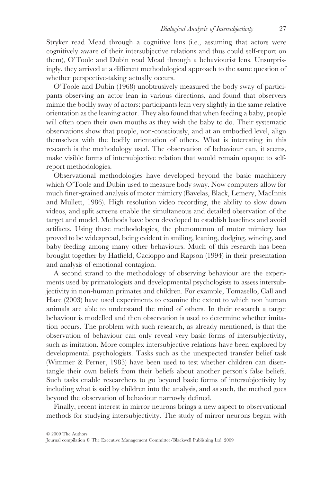Stryker read Mead through a cognitive lens (i.e., assuming that actors were cognitively aware of their intersubjective relations and thus could self-report on them), O'Toole and Dubin read Mead through a behaviourist lens. Unsurprisingly, they arrived at a different methodological approach to the same question of whether perspective-taking actually occurs.

O'Toole and Dubin (1968) unobtrusively measured the body sway of participants observing an actor lean in various directions, and found that observers mimic the bodily sway of actors: participants lean very slightly in the same relative orientation as the leaning actor. They also found that when feeding a baby, people will often open their own mouths as they wish the baby to do. Their systematic observations show that people, non-consciously, and at an embodied level, align themselves with the bodily orientation of others. What is interesting in this research is the methodology used. The observation of behaviour can, it seems, make visible forms of intersubjective relation that would remain opaque to selfreport methodologies.

Observational methodologies have developed beyond the basic machinery which O'Toole and Dubin used to measure body sway. Now computers allow for much finer-grained analysis of motor mimicry (Bavelas, Black, Lemery, MacInnis and Mullett, 1986). High resolution video recording, the ability to slow down videos, and split screens enable the simultaneous and detailed observation of the target and model. Methods have been developed to establish baselines and avoid artifacts. Using these methodologies, the phenomenon of motor mimicry has proved to be widespread, being evident in smiling, leaning, dodging, wincing, and baby feeding among many other behaviours. Much of this research has been brought together by Hatfield, Cacioppo and Rapson (1994) in their presentation and analysis of emotional contagion.

A second strand to the methodology of observing behaviour are the experiments used by primatologists and developmental psychologists to assess intersubjectivity in non-human primates and children. For example, Tomasello, Call and Hare (2003) have used experiments to examine the extent to which non human animals are able to understand the mind of others. In their research a target behaviour is modelled and then observation is used to determine whether imitation occurs. The problem with such research, as already mentioned, is that the observation of behaviour can only reveal very basic forms of intersubjectivity, such as imitation. More complex intersubjective relations have been explored by developmental psychologists. Tasks such as the unexpected transfer belief task (Wimmer & Perner, 1983) have been used to test whether children can disentangle their own beliefs from their beliefs about another person's false beliefs. Such tasks enable researchers to go beyond basic forms of intersubjectivity by including what is said by children into the analysis, and as such, the method goes beyond the observation of behaviour narrowly defined.

Finally, recent interest in mirror neurons brings a new aspect to observational methods for studying intersubjectivity. The study of mirror neurons began with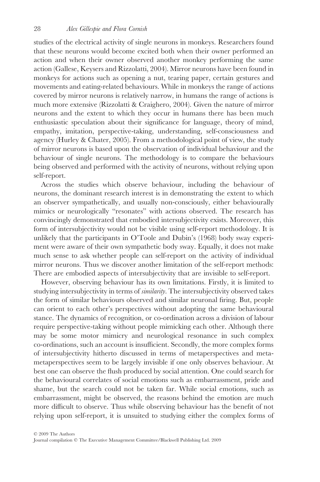studies of the electrical activity of single neurons in monkeys. Researchers found that these neurons would become excited both when their owner performed an action and when their owner observed another monkey performing the same action (Gallese, Keysers and Rizzolatti, 2004). Mirror neurons have been found in monkeys for actions such as opening a nut, tearing paper, certain gestures and movements and eating-related behaviours. While in monkeys the range of actions covered by mirror neurons is relatively narrow, in humans the range of actions is much more extensive (Rizzolatti & Craighero, 2004). Given the nature of mirror neurons and the extent to which they occur in humans there has been much enthusiastic speculation about their significance for language, theory of mind, empathy, imitation, perspective-taking, understanding, self-consciousness and agency (Hurley & Chater, 2005). From a methodological point of view, the study of mirror neurons is based upon the observation of individual behaviour and the behaviour of single neurons. The methodology is to compare the behaviours being observed and performed with the activity of neurons, without relying upon self-report.

Across the studies which observe behaviour, including the behaviour of neurons, the dominant research interest is in demonstrating the extent to which an observer sympathetically, and usually non-consciously, either behaviourally mimics or neurologically "resonates" with actions observed. The research has convincingly demonstrated that embodied intersubjectivity exists. Moreover, this form of intersubjectivity would not be visible using self-report methodology. It is unlikely that the participants in O'Toole and Dubin's (1968) body sway experiment were aware of their own sympathetic body sway. Equally, it does not make much sense to ask whether people can self-report on the activity of individual mirror neurons. Thus we discover another limitation of the self-report methods: There are embodied aspects of intersubjectivity that are invisible to self-report.

However, observing behaviour has its own limitations. Firstly, it is limited to studying intersubjectivity in terms of *similarity*. The intersubjectivity observed takes the form of similar behaviours observed and similar neuronal firing. But, people can orient to each other's perspectives without adopting the same behavioural stance. The dynamics of recognition, or co-ordination across a division of labour require perspective-taking without people mimicking each other. Although there may be some motor mimicry and neurological resonance in such complex co-ordinations, such an account is insufficient. Secondly, the more complex forms of intersubjectivity hitherto discussed in terms of metaperspectives and metametaperspectives seem to be largely invisible if one only observes behaviour. At best one can observe the flush produced by social attention. One could search for the behavioural correlates of social emotions such as embarrassment, pride and shame, but the search could not be taken far. While social emotions, such as embarrassment, might be observed, the reasons behind the emotion are much more difficult to observe. Thus while observing behaviour has the benefit of not relying upon self-report, it is unsuited to studying either the complex forms of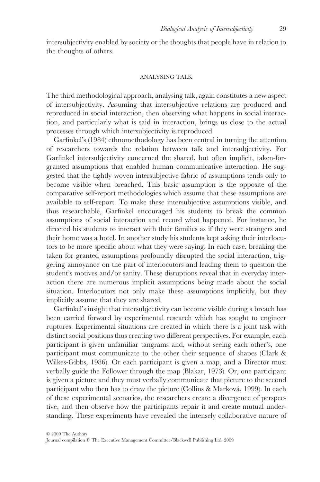intersubjectivity enabled by society or the thoughts that people have in relation to the thoughts of others.

## ANALYSING TALK

The third methodological approach, analysing talk, again constitutes a new aspect of intersubjectivity. Assuming that intersubjective relations are produced and reproduced in social interaction, then observing what happens in social interaction, and particularly what is said in interaction, brings us close to the actual processes through which intersubjectivity is reproduced.

Garfinkel's (1984) ethnomethodology has been central in turning the attention of researchers towards the relation between talk and intersubjectivity. For Garfinkel intersubjectivity concerned the shared, but often implicit, taken-forgranted assumptions that enabled human communicative interaction. He suggested that the tightly woven intersubjective fabric of assumptions tends only to become visible when breached. This basic assumption is the opposite of the comparative self-report methodologies which assume that these assumptions are available to self-report. To make these intersubjective assumptions visible, and thus researchable, Garfinkel encouraged his students to break the common assumptions of social interaction and record what happened. For instance, he directed his students to interact with their families as if they were strangers and their home was a hotel. In another study his students kept asking their interlocutors to be more specific about what they were saying. In each case, breaking the taken for granted assumptions profoundly disrupted the social interaction, triggering annoyance on the part of interlocutors and leading them to question the student's motives and/or sanity. These disruptions reveal that in everyday interaction there are numerous implicit assumptions being made about the social situation. Interlocutors not only make these assumptions implicitly, but they implicitly assume that they are shared.

Garfinkel's insight that intersubjectivity can become visible during a breach has been carried forward by experimental research which has sought to engineer ruptures. Experimental situations are created in which there is a joint task with distinct social positions thus creating two different perspectives. For example, each participant is given unfamiliar tangrams and, without seeing each other's, one participant must communicate to the other their sequence of shapes (Clark & Wilkes-Gibbs, 1986). Or each participant is given a map, and a Director must verbally guide the Follower through the map (Blakar, 1973). Or, one participant is given a picture and they must verbally communicate that picture to the second participant who then has to draw the picture (Collins & Marková, 1999). In each of these experimental scenarios, the researchers create a divergence of perspective, and then observe how the participants repair it and create mutual understanding. These experiments have revealed the intensely collaborative nature of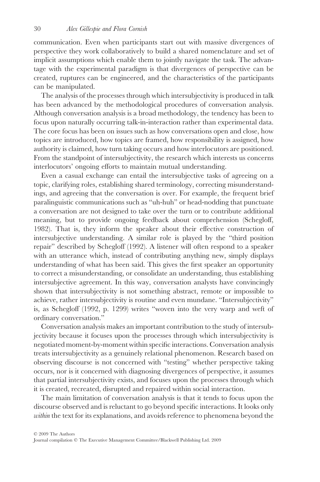communication. Even when participants start out with massive divergences of perspective they work collaboratively to build a shared nomenclature and set of implicit assumptions which enable them to jointly navigate the task. The advantage with the experimental paradigm is that divergences of perspective can be created, ruptures can be engineered, and the characteristics of the participants can be manipulated.

The analysis of the processes through which intersubjectivity is produced in talk has been advanced by the methodological procedures of conversation analysis. Although conversation analysis is a broad methodology, the tendency has been to focus upon naturally occurring talk-in-interaction rather than experimental data. The core focus has been on issues such as how conversations open and close, how topics are introduced, how topics are framed, how responsibility is assigned, how authority is claimed, how turn taking occurs and how interlocutors are positioned. From the standpoint of intersubjectivity, the research which interests us concerns interlocutors' ongoing efforts to maintain mutual understanding.

Even a casual exchange can entail the intersubjective tasks of agreeing on a topic, clarifying roles, establishing shared terminology, correcting misunderstandings, and agreeing that the conversation is over. For example, the frequent brief paralinguistic communications such as "uh-huh" or head-nodding that punctuate a conversation are not designed to take over the turn or to contribute additional meaning, but to provide ongoing feedback about comprehension (Schegloff, 1982). That is, they inform the speaker about their effective construction of intersubjective understanding. A similar role is played by the "third position repair" described by Schegloff (1992). A listener will often respond to a speaker with an utterance which, instead of contributing anything new, simply displays understanding of what has been said. This gives the first speaker an opportunity to correct a misunderstanding, or consolidate an understanding, thus establishing intersubjective agreement. In this way, conversation analysts have convincingly shown that intersubjectivity is not something abstract, remote or impossible to achieve, rather intersubjectivity is routine and even mundane. "Intersubjectivity" is, as Schegloff (1992, p. 1299) writes "woven into the very warp and weft of ordinary conversation."

Conversation analysis makes an important contribution to the study of intersubjectivity because it focuses upon the processes through which intersubjectivity is negotiated moment-by-moment within specific interactions. Conversation analysis treats intersubjectivity as a genuinely relational phenomenon. Research based on observing discourse is not concerned with "testing" whether perspective taking occurs, nor is it concerned with diagnosing divergences of perspective, it assumes that partial intersubjectivity exists, and focuses upon the processes through which it is created, recreated, disrupted and repaired within social interaction.

The main limitation of conversation analysis is that it tends to focus upon the discourse observed and is reluctant to go beyond specific interactions. It looks only *within* the text for its explanations, and avoids reference to phenomena beyond the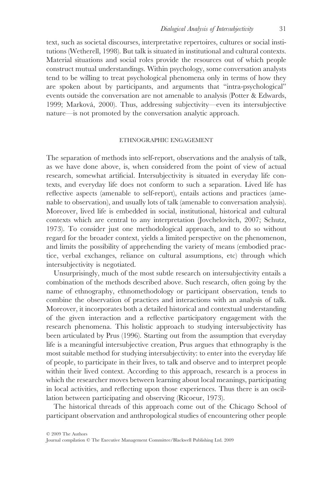text, such as societal discourses, interpretative repertoires, cultures or social institutions (Wetherell, 1998). But talk is situated in institutional and cultural contexts. Material situations and social roles provide the resources out of which people construct mutual understandings. Within psychology, some conversation analysts tend to be willing to treat psychological phenomena only in terms of how they are spoken about by participants, and arguments that "intra-psychological" events outside the conversation are not amenable to analysis (Potter & Edwards, 1999; Marková, 2000). Thus, addressing subjectivity—even its intersubjective nature—is not promoted by the conversation analytic approach.

# ETHNOGRAPHIC ENGAGEMENT

The separation of methods into self-report, observations and the analysis of talk, as we have done above, is, when considered from the point of view of actual research, somewhat artificial. Intersubjectivity is situated in everyday life contexts, and everyday life does not conform to such a separation. Lived life has reflective aspects (amenable to self-report), entails actions and practices (amenable to observation), and usually lots of talk (amenable to conversation analysis). Moreover, lived life is embedded in social, institutional, historical and cultural contexts which are central to any interpretation (Jovchelovitch, 2007; Schutz, 1973). To consider just one methodological approach, and to do so without regard for the broader context, yields a limited perspective on the phenomenon, and limits the possibility of apprehending the variety of means (embodied practice, verbal exchanges, reliance on cultural assumptions, etc) through which intersubjectivity is negotiated.

Unsurprisingly, much of the most subtle research on intersubjectivity entails a combination of the methods described above. Such research, often going by the name of ethnography, ethnomethodology or participant observation, tends to combine the observation of practices and interactions with an analysis of talk. Moreover, it incorporates both a detailed historical and contextual understanding of the given interaction and a reflective participatory engagement with the research phenomena. This holistic approach to studying intersubjectivity has been articulated by Prus (1996). Starting out from the assumption that everyday life is a meaningful intersubjective creation, Prus argues that ethnography is the most suitable method for studying intersubjectivity: to enter into the everyday life of people, to participate in their lives, to talk and observe and to interpret people within their lived context. According to this approach, research is a process in which the researcher moves between learning about local meanings, participating in local activities, and reflecting upon those experiences. Thus there is an oscillation between participating and observing (Ricoeur, 1973).

The historical threads of this approach come out of the Chicago School of participant observation and anthropological studies of encountering other people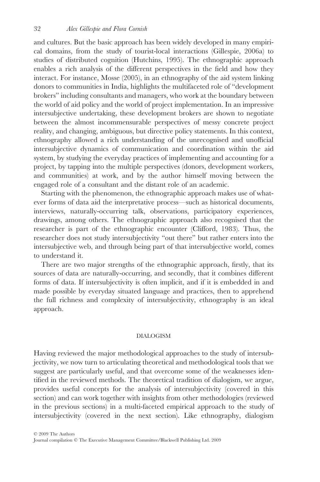and cultures. But the basic approach has been widely developed in many empirical domains, from the study of tourist-local interactions (Gillespie, 2006a) to studies of distributed cognition (Hutchins, 1995). The ethnographic approach enables a rich analysis of the different perspectives in the field and how they interact. For instance, Mosse (2005), in an ethnography of the aid system linking donors to communities in India, highlights the multifaceted role of "development brokers" including consultants and managers, who work at the boundary between the world of aid policy and the world of project implementation. In an impressive intersubjective undertaking, these development brokers are shown to negotiate between the almost incommensurable perspectives of messy concrete project reality, and changing, ambiguous, but directive policy statements. In this context, ethnography allowed a rich understanding of the unrecognised and unofficial intersubjective dynamics of communication and coordination within the aid system, by studying the everyday practices of implementing and accounting for a project, by tapping into the multiple perspectives (donors, development workers, and communities) at work, and by the author himself moving between the engaged role of a consultant and the distant role of an academic.

Starting with the phenomenon, the ethnographic approach makes use of whatever forms of data aid the interpretative process—such as historical documents, interviews, naturally-occurring talk, observations, participatory experiences, drawings, among others. The ethnographic approach also recognised that the researcher is part of the ethnographic encounter (Clifford, 1983). Thus, the researcher does not study intersubjectivity "out there" but rather enters into the intersubjective web, and through being part of that intersubjective world, comes to understand it.

There are two major strengths of the ethnographic approach, firstly, that its sources of data are naturally-occurring, and secondly, that it combines different forms of data. If intersubjectivity is often implicit, and if it is embedded in and made possible by everyday situated language and practices, then to apprehend the full richness and complexity of intersubjectivity, ethnography is an ideal approach.

## DIALOGISM

Having reviewed the major methodological approaches to the study of intersubjectivity, we now turn to articulating theoretical and methodological tools that we suggest are particularly useful, and that overcome some of the weaknesses identified in the reviewed methods. The theoretical tradition of dialogism, we argue, provides useful concepts for the analysis of intersubjectivity (covered in this section) and can work together with insights from other methodologies (reviewed in the previous sections) in a multi-faceted empirical approach to the study of intersubjectivity (covered in the next section). Like ethnography, dialogism

© 2009 The Authors Journal compilation © The Executive Management Committee/Blackwell Publishing Ltd. 2009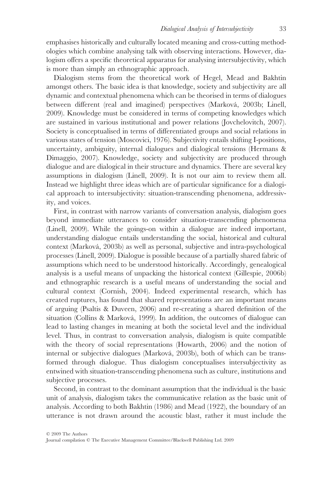emphasises historically and culturally located meaning and cross-cutting methodologies which combine analysing talk with observing interactions. However, dialogism offers a specific theoretical apparatus for analysing intersubjectivity, which is more than simply an ethnographic approach.

Dialogism stems from the theoretical work of Hegel, Mead and Bakhtin amongst others. The basic idea is that knowledge, society and subjectivity are all dynamic and contextual phenomena which can be theorised in terms of dialogues between different (real and imagined) perspectives (Marková, 2003b; Linell, 2009). Knowledge must be considered in terms of competing knowledges which are sustained in various institutional and power relations (Jovchelovitch, 2007). Society is conceptualised in terms of differentiated groups and social relations in various states of tension (Moscovici, 1976). Subjectivity entails shifting I-positions, uncertainty, ambiguity, internal dialogues and dialogical tensions (Hermans & Dimaggio, 2007). Knowledge, society and subjectivity are produced through dialogue and are dialogical in their structure and dynamics. There are several key assumptions in dialogism (Linell, 2009). It is not our aim to review them all. Instead we highlight three ideas which are of particular significance for a dialogical approach to intersubjectivity: situation-transcending phenomena, addressivity, and voices.

First, in contrast with narrow variants of conversation analysis, dialogism goes beyond immediate utterances to consider situation-transcending phenomena (Linell, 2009). While the goings-on within a dialogue are indeed important, understanding dialogue entails understanding the social, historical and cultural context (Marková, 2003b) as well as personal, subjective and intra-psychological processes (Linell, 2009). Dialogue is possible because of a partially shared fabric of assumptions which need to be understood historically. Accordingly, genealogical analysis is a useful means of unpacking the historical context (Gillespie, 2006b) and ethnographic research is a useful means of understanding the social and cultural context (Cornish, 2004). Indeed experimental research, which has created ruptures, has found that shared representations are an important means of arguing (Psaltis & Duveen, 2006) and re-creating a shared definition of the situation (Collins & Marková, 1999). In addition, the outcomes of dialogue can lead to lasting changes in meaning at both the societal level and the individual level. Thus, in contrast to conversation analysis, dialogism is quite compatible with the theory of social representations (Howarth, 2006) and the notion of internal or subjective dialogues (Marková, 2003b), both of which can be transformed through dialogue. Thus dialogism conceptualises intersubjectivity as entwined with situation-transcending phenomena such as culture, institutions and subjective processes.

Second, in contrast to the dominant assumption that the individual is the basic unit of analysis, dialogism takes the communicative relation as the basic unit of analysis. According to both Bakhtin (1986) and Mead (1922), the boundary of an utterance is not drawn around the acoustic blast, rather it must include the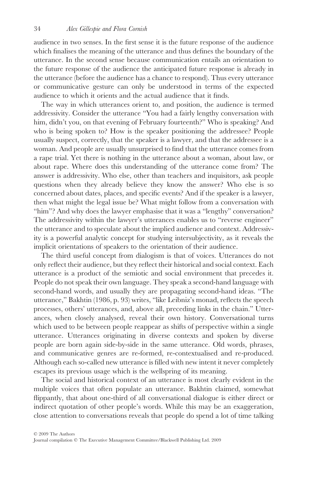audience in two senses. In the first sense it is the future response of the audience which finalises the meaning of the utterance and thus defines the boundary of the utterance. In the second sense because communication entails an orientation to the future response of the audience the anticipated future response is already in the utterance (before the audience has a chance to respond). Thus every utterance or communicative gesture can only be understood in terms of the expected audience to which it orients and the actual audience that it finds.

The way in which utterances orient to, and position, the audience is termed addressivity. Consider the utterance "You had a fairly lengthy conversation with him, didn't you, on that evening of February fourteenth?" Who is speaking? And who is being spoken to? How is the speaker positioning the addressee? People usually suspect, correctly, that the speaker is a lawyer, and that the addressee is a woman. And people are usually unsurprised to find that the utterance comes from a rape trial. Yet there is nothing in the utterance about a woman, about law, or about rape. Where does this understanding of the utterance come from? The answer is addressivity. Who else, other than teachers and inquisitors, ask people questions when they already believe they know the answer? Who else is so concerned about dates, places, and specific events? And if the speaker is a lawyer, then what might the legal issue be? What might follow from a conversation with "him"? And why does the lawyer emphasise that it was a "lengthy" conversation? The addressivity within the lawyer's utterances enables us to "reverse engineer" the utterance and to speculate about the implied audience and context. Addressivity is a powerful analytic concept for studying intersubjectivity, as it reveals the implicit orientations of speakers to the orientation of their audience.

The third useful concept from dialogism is that of voices. Utterances do not only reflect their audience, but they reflect their historical and social context. Each utterance is a product of the semiotic and social environment that precedes it. People do not speak their own language. They speak a second-hand language with second-hand words, and usually they are propagating second-hand ideas. "The utterance," Bakhtin (1986, p. 93) writes, "like Leibniz's monad, reflects the speech processes, others' utterances, and, above all, preceding links in the chain." Utterances, when closely analysed, reveal their own history. Conversational turns which used to be between people reappear as shifts of perspective within a single utterance. Utterances originating in diverse contexts and spoken by diverse people are born again side-by-side in the same utterance. Old words, phrases, and communicative genres are re-formed, re-contextualised and re-produced. Although each so-called new utterance is filled with new intent it never completely escapes its previous usage which is the wellspring of its meaning.

The social and historical context of an utterance is most clearly evident in the multiple voices that often populate an utterance. Bakhtin claimed, somewhat flippantly, that about one-third of all conversational dialogue is either direct or indirect quotation of other people's words. While this may be an exaggeration, close attention to conversations reveals that people do spend a lot of time talking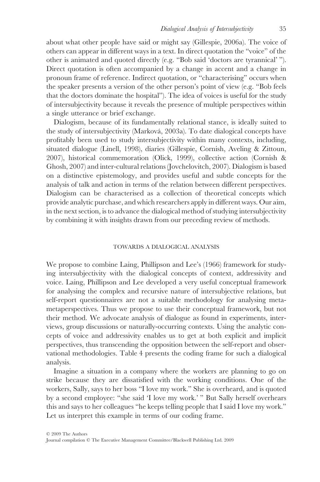about what other people have said or might say (Gillespie, 2006a). The voice of others can appear in different ways in a text. In direct quotation the "voice" of the other is animated and quoted directly (e.g. "Bob said 'doctors are tyrannical' "). Direct quotation is often accompanied by a change in accent and a change in pronoun frame of reference. Indirect quotation, or "characterising" occurs when the speaker presents a version of the other person's point of view (e.g. "Bob feels that the doctors dominate the hospital"). The idea of voices is useful for the study of intersubjectivity because it reveals the presence of multiple perspectives within a single utterance or brief exchange.

Dialogism, because of its fundamentally relational stance, is ideally suited to the study of intersubjectivity (Marková, 2003a). To date dialogical concepts have profitably been used to study intersubjectivity within many contexts, including, situated dialogue (Linell, 1998), diaries (Gillespie, Cornish, Aveling & Zittoun, 2007), historical commemoration (Olick, 1999), collective action (Cornish & Ghosh, 2007) and inter-cultural relations (Jovchelovitch, 2007). Dialogism is based on a distinctive epistemology, and provides useful and subtle concepts for the analysis of talk and action in terms of the relation between different perspectives. Dialogism can be characterised as a collection of theoretical concepts which provide analytic purchase, and which researchers apply in different ways. Our aim, in the next section, is to advance the dialogical method of studying intersubjectivity by combining it with insights drawn from our preceding review of methods.

#### TOWARDS A DIALOGICAL ANALYSIS

We propose to combine Laing, Phillipson and Lee's (1966) framework for studying intersubjectivity with the dialogical concepts of context, addressivity and voice. Laing, Phillipson and Lee developed a very useful conceptual framework for analysing the complex and recursive nature of intersubjective relations, but self-report questionnaires are not a suitable methodology for analysing metametaperspectives. Thus we propose to use their conceptual framework, but not their method. We advocate analysis of dialogue as found in experiments, interviews, group discussions or naturally-occurring contexts. Using the analytic concepts of voice and addressivity enables us to get at both explicit and implicit perspectives, thus transcending the opposition between the self-report and observational methodologies. Table 4 presents the coding frame for such a dialogical analysis.

Imagine a situation in a company where the workers are planning to go on strike because they are dissatisfied with the working conditions. One of the workers, Sally, says to her boss "I love my work." She is overheard, and is quoted by a second employee: "she said 'I love my work.' " But Sally herself overhears this and says to her colleagues "he keeps telling people that I said I love my work." Let us interpret this example in terms of our coding frame.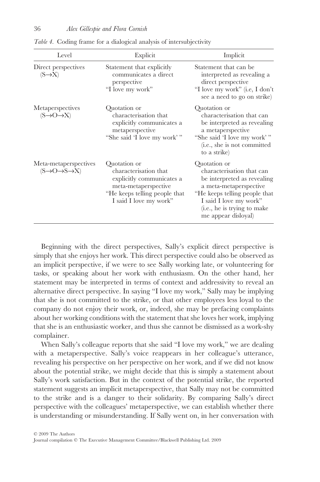| Level                                                                   | Explicit                                                                                                                                               | Implicit                                                                                                                                                                                                            |
|-------------------------------------------------------------------------|--------------------------------------------------------------------------------------------------------------------------------------------------------|---------------------------------------------------------------------------------------------------------------------------------------------------------------------------------------------------------------------|
| Direct perspectives<br>$(S \rightarrow X)$                              | Statement that explicitly<br>communicates a direct<br>perspective<br>"I love my work"                                                                  | Statement that can be<br>interpreted as revealing a<br>direct perspective<br>"I love my work" (i.e, I don't<br>see a need to go on strike)                                                                          |
| <b>Metaperspectives</b><br>$(S\rightarrow O\rightarrow X)$              | Quotation or<br>characterisation that<br>explicitly communicates a<br>metaperspective<br>"She said 'I love my work'"                                   | Quotation or<br>characterisation that can<br>be interpreted as revealing<br>a metaperspective<br>"She said 'I love my work'"<br>( <i>i.e.</i> , she is not committed<br>to a strike)                                |
| Meta-metaperspectives<br>$(S\rightarrow O \rightarrow S \rightarrow X)$ | Quotation or<br>characterisation that<br>explicitly communicates a<br>meta-metaperspective<br>"He keeps telling people that"<br>I said I love my work" | Quotation or<br>characterisation that can<br>be interpreted as revealing<br>a meta-metaperspective<br>"He keeps telling people that<br>I said I love my work"<br>(i.e., he is trying to make<br>me appear disloyal) |

*Table 4.* Coding frame for a dialogical analysis of intersubjectivity

Beginning with the direct perspectives, Sally's explicit direct perspective is simply that she enjoys her work. This direct perspective could also be observed as an implicit perspective, if we were to see Sally working late, or volunteering for tasks, or speaking about her work with enthusiasm. On the other hand, her statement may be interpreted in terms of context and addressivity to reveal an alternative direct perspective. In saying "I love my work," Sally may be implying that she is not committed to the strike, or that other employees less loyal to the company do not enjoy their work, or, indeed, she may be prefacing complaints about her working conditions with the statement that she loves her work, implying that she is an enthusiastic worker, and thus she cannot be dismissed as a work-shy complainer.

When Sally's colleague reports that she said "I love my work," we are dealing with a metaperspective. Sally's voice reappears in her colleague's utterance, revealing his perspective on her perspective on her work, and if we did not know about the potential strike, we might decide that this is simply a statement about Sally's work satisfaction. But in the context of the potential strike, the reported statement suggests an implicit metaperspective, that Sally may not be committed to the strike and is a danger to their solidarity. By comparing Sally's direct perspective with the colleagues' metaperspective, we can establish whether there is understanding or misunderstanding. If Sally went on, in her conversation with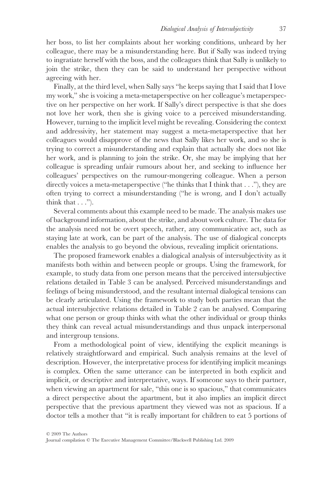her boss, to list her complaints about her working conditions, unheard by her colleague, there may be a misunderstanding here. But if Sally was indeed trying to ingratiate herself with the boss, and the colleagues think that Sally is unlikely to join the strike, then they can be said to understand her perspective without agreeing with her.

Finally, at the third level, when Sally says "he keeps saying that I said that I love my work," she is voicing a meta-metaperspective on her colleague's metaperspective on her perspective on her work. If Sally's direct perspective is that she does not love her work, then she is giving voice to a perceived misunderstanding. However, turning to the implicit level might be revealing. Considering the context and addressivity, her statement may suggest a meta-metaperspective that her colleagues would disapprove of the news that Sally likes her work, and so she is trying to correct a misunderstanding and explain that actually she does not like her work, and is planning to join the strike. Or, she may be implying that her colleague is spreading unfair rumours about her, and seeking to influence her colleagues' perspectives on the rumour-mongering colleague. When a person directly voices a meta-metaperspective ("he thinks that I think that . . ."), they are often trying to correct a misunderstanding ("he is wrong, and I don't actually think that  $\ldots$ ").

Several comments about this example need to be made. The analysis makes use of background information, about the strike, and about work culture. The data for the analysis need not be overt speech, rather, any communicative act, such as staying late at work, can be part of the analysis. The use of dialogical concepts enables the analysis to go beyond the obvious, revealing implicit orientations.

The proposed framework enables a dialogical analysis of intersubjectivity as it manifests both within and between people or groups. Using the framework, for example, to study data from one person means that the perceived intersubjective relations detailed in Table 3 can be analysed. Perceived misunderstandings and feelings of being misunderstood, and the resultant internal dialogical tensions can be clearly articulated. Using the framework to study both parties mean that the actual intersubjective relations detailed in Table 2 can be analysed. Comparing what one person or group thinks with what the other individual or group thinks they think can reveal actual misunderstandings and thus unpack interpersonal and intergroup tensions.

From a methodological point of view, identifying the explicit meanings is relatively straightforward and empirical. Such analysis remains at the level of description. However, the interpretative process for identifying implicit meanings is complex. Often the same utterance can be interpreted in both explicit and implicit, or descriptive and interpretative, ways. If someone says to their partner, when viewing an apartment for sale, "this one is so spacious," that communicates a direct perspective about the apartment, but it also implies an implicit direct perspective that the previous apartment they viewed was not as spacious. If a doctor tells a mother that "it is really important for children to eat 5 portions of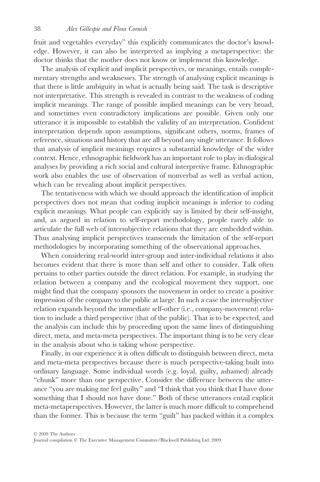fruit and vegetables everyday" this explicitly communicates the doctor's knowledge. However, it can also be interpreted as implying a metaperspective: the doctor thinks that the mother does not know or implement this knowledge.

The analysis of explicit and implicit perspectives, or meanings, entails complementary strengths and weaknesses. The strength of analysing explicit meanings is that there is little ambiguity in what is actually being said. The task is descriptive not interpretative. This strength is revealed in contrast to the weakness of coding implicit meanings. The range of possible implied meanings can be very broad, and sometimes even contradictory implications are possible. Given only one utterance it is impossible to establish the validity of an interpretation. Confident interpretation depends upon assumptions, significant others, norms, frames of reference, situations and history that are all beyond any single utterance. It follows that analysis of implicit meanings requires a substantial knowledge of the wider context. Hence, ethnographic fieldwork has an important role to play in dialogical analyses by providing a rich social and cultural interpretive frame. Ethnographic work also enables the use of observation of nonverbal as well as verbal action, which can be revealing about implicit perspectives.

The tentativeness with which we should approach the identification of implicit perspectives does not mean that coding implicit meanings is inferior to coding explicit meanings. What people can explicitly say is limited by their self-insight, and, as argued in relation to self-report methodology, people rarely able to articulate the full web of intersubjective relations that they are embedded within. Thus analysing implicit perspectives transcends the limitation of the self-report methodologies by incorporating something of the observational approaches.

When considering real-world inter-group and inter-individual relations it also becomes evident that there is more than self and other to consider. Talk often pertains to other parties outside the direct relation. For example, in studying the relation between a company and the ecological movement they support, one might find that the company sponsors the movement in order to create a positive impression of the company to the public at large. In such a case the intersubjective relation expands beyond the immediate self-other (i.e., company-movement) relation to include a third perspective (that of the public). That is to be expected, and the analysis can include this by proceeding upon the same lines of distinguishing direct, meta, and meta-meta perspectives. The important thing is to be very clear in the analysis about who is taking whose perspective.

Finally, in our experience it is often difficult to distinguish between direct, meta and meta-meta perspectives because there is much perspective-taking built into ordinary language. Some individual words (e.g. loyal, guilty, ashamed) already "chunk" more than one perspective. Consider the difference between the utterance "you are making me feel guilty" and "I think that you think that I have done something that I should not have done." Both of these utterances entail explicit meta-metaperspectives. However, the latter is much more difficult to comprehend than the former. This is because the term "guilt" has packed within it a complex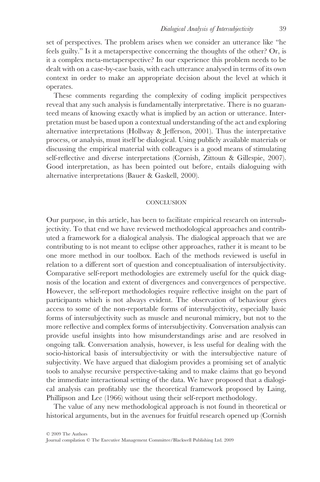set of perspectives. The problem arises when we consider an utterance like "he feels guilty." Is it a metaperspective concerning the thoughts of the other? Or, is it a complex meta-metaperspective? In our experience this problem needs to be dealt with on a case-by-case basis, with each utterance analysed in terms of its own context in order to make an appropriate decision about the level at which it operates.

These comments regarding the complexity of coding implicit perspectives reveal that any such analysis is fundamentally interpretative. There is no guaranteed means of knowing exactly what is implied by an action or utterance. Interpretation must be based upon a contextual understanding of the act and exploring alternative interpretations (Hollway & Jefferson, 2001). Thus the interpretative process, or analysis, must itself be dialogical. Using publicly available materials or discussing the empirical material with colleagues is a good means of stimulating self-reflective and diverse interpretations (Cornish, Zittoun & Gillespie, 2007). Good interpretation, as has been pointed out before, entails dialoguing with alternative interpretations (Bauer & Gaskell, 2000).

#### **CONCLUSION**

Our purpose, in this article, has been to facilitate empirical research on intersubjectivity. To that end we have reviewed methodological approaches and contributed a framework for a dialogical analysis. The dialogical approach that we are contributing to is not meant to eclipse other approaches, rather it is meant to be one more method in our toolbox. Each of the methods reviewed is useful in relation to a different sort of question and conceptualisation of intersubjectivity. Comparative self-report methodologies are extremely useful for the quick diagnosis of the location and extent of divergences and convergences of perspective. However, the self-report methodologies require reflective insight on the part of participants which is not always evident. The observation of behaviour gives access to some of the non-reportable forms of intersubjectivity, especially basic forms of intersubjectivity such as muscle and neuronal mimicry, but not to the more reflective and complex forms of intersubjectivity. Conversation analysis can provide useful insights into how misunderstandings arise and are resolved in ongoing talk. Conversation analysis, however, is less useful for dealing with the socio-historical basis of intersubjectivity or with the intersubjective nature of subjectivity. We have argued that dialogism provides a promising set of analytic tools to analyse recursive perspective-taking and to make claims that go beyond the immediate interactional setting of the data. We have proposed that a dialogical analysis can profitably use the theoretical framework proposed by Laing, Phillipson and Lee (1966) without using their self-report methodology.

The value of any new methodological approach is not found in theoretical or historical arguments, but in the avenues for fruitful research opened up (Cornish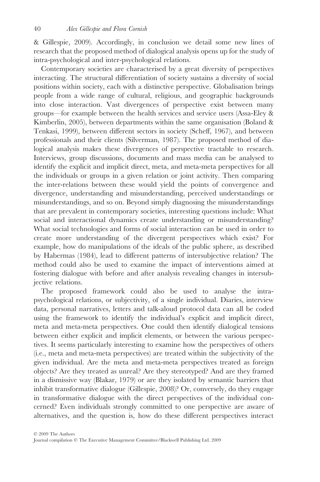& Gillespie, 2009). Accordingly, in conclusion we detail some new lines of research that the proposed method of dialogical analysis opens up for the study of intra-psychological and inter-psychological relations.

Contemporary societies are characterised by a great diversity of perspectives interacting. The structural differentiation of society sustains a diversity of social positions within society, each with a distinctive perspective. Globalisation brings people from a wide range of cultural, religious, and geographic backgrounds into close interaction. Vast divergences of perspective exist between many groups—for example between the health services and service users (Assa-Eley & Kimberlin, 2005), between departments within the same organisation (Boland & Tenkasi, 1999), between different sectors in society (Scheff, 1967), and between professionals and their clients (Silverman, 1987). The proposed method of dialogical analysis makes these divergences of perspective tractable to research. Interviews, group discussions, documents and mass media can be analysed to identify the explicit and implicit direct, meta, and meta-meta perspectives for all the individuals or groups in a given relation or joint activity. Then comparing the inter-relations between these would yield the points of convergence and divergence, understanding and misunderstanding, perceived understandings or misunderstandings, and so on. Beyond simply diagnosing the misunderstandings that are prevalent in contemporary societies, interesting questions include: What social and interactional dynamics create understanding or misunderstanding? What social technologies and forms of social interaction can be used in order to create more understanding of the divergent perspectives which exist? For example, how do manipulations of the ideals of the public sphere, as described by Habermas (1984), lead to different patterns of intersubjective relation? The method could also be used to examine the impact of interventions aimed at fostering dialogue with before and after analysis revealing changes in intersubjective relations.

The proposed framework could also be used to analyse the intrapsychological relations, or subjectivity, of a single individual. Diaries, interview data, personal narratives, letters and talk-aloud protocol data can all be coded using the framework to identify the individual's explicit and implicit direct, meta and meta-meta perspectives. One could then identify dialogical tensions between either explicit and implicit elements, or between the various perspectives. It seems particularly interesting to examine how the perspectives of others (i.e., meta and meta-meta perspectives) are treated within the subjectivity of the given individual. Are the meta and meta-meta perspectives treated as foreign objects? Are they treated as unreal? Are they stereotyped? And are they framed in a dismissive way (Blakar, 1979) or are they isolated by semantic barriers that inhibit transformative dialogue (Gillespie, 2008)? Or, conversely, do they engage in transformative dialogue with the direct perspectives of the individual concerned? Even individuals strongly committed to one perspective are aware of alternatives, and the question is, how do these different perspectives interact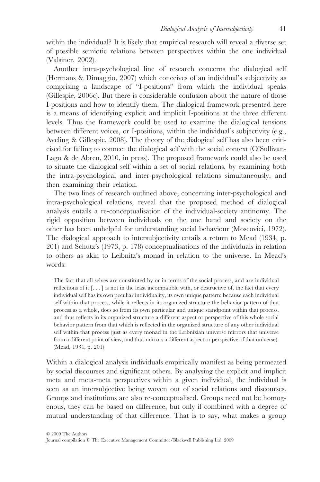within the individual? It is likely that empirical research will reveal a diverse set of possible semiotic relations between perspectives within the one individual (Valsiner, 2002).

Another intra-psychological line of research concerns the dialogical self (Hermans & Dimaggio, 2007) which conceives of an individual's subjectivity as comprising a landscape of "I-positions" from which the individual speaks (Gillespie, 2006c). But there is considerable confusion about the nature of those I-positions and how to identify them. The dialogical framework presented here is a means of identifying explicit and implicit I-positions at the three different levels. Thus the framework could be used to examine the dialogical tensions between different voices, or I-positions, within the individual's subjectivity (e.g., Aveling & Gillespie, 2008). The theory of the dialogical self has also been criticised for failing to connect the dialogical self with the social context (O'Sullivan-Lago & de Abreu, 2010, in press). The proposed framework could also be used to situate the dialogical self within a set of social relations, by examining both the intra-psychological and inter-psychological relations simultaneously, and then examining their relation.

The two lines of research outlined above, concerning inter-psychological and intra-psychological relations, reveal that the proposed method of dialogical analysis entails a re-conceptualisation of the individual-society antinomy. The rigid opposition between individuals on the one hand and society on the other has been unhelpful for understanding social behaviour (Moscovici, 1972). The dialogical approach to intersubjectivity entails a return to Mead (1934, p. 201) and Schutz's (1973, p. 178) conceptualisations of the individuals in relation to others as akin to Leibnitz's monad in relation to the universe. In Mead's words:

The fact that all selves are constituted by or in terms of the social process, and are individual reflections of it  $[\dots]$  is not in the least incompatible with, or destructive of, the fact that every individual self has its own peculiar individuality, its own unique pattern; because each individual self within that process, while it reflects in its organized structure the behavior pattern of that process as a whole, does so from its own particular and unique standpoint within that process, and thus reflects in its organized structure a different aspect or perspective of this whole social behavior pattern from that which is reflected in the organized structure of any other individual self within that process (just as every monad in the Leibnizian universe mirrors that universe from a different point of view, and thus mirrors a different aspect or perspective of that universe). (Mead, 1934, p. 201)

Within a dialogical analysis individuals empirically manifest as being permeated by social discourses and significant others. By analysing the explicit and implicit meta and meta-meta perspectives within a given individual, the individual is seen as an intersubjective being woven out of social relations and discourses. Groups and institutions are also re-conceptualised. Groups need not be homogenous, they can be based on difference, but only if combined with a degree of mutual understanding of that difference. That is to say, what makes a group

© 2009 The Authors Journal compilation © The Executive Management Committee/Blackwell Publishing Ltd. 2009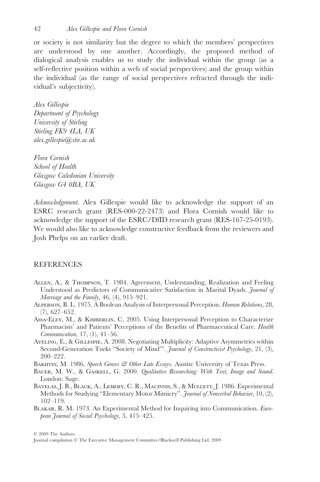or society is not similarity but the degree to which the members' perspectives are understood by one another. Accordingly, the proposed method of dialogical analysis enables us to study the individual within the group (as a self-reflective position within a web of social perspectives) and the group within the individual (as the range of social perspectives refracted through the individual's subjectivity).

*Alex Gillespie Department of Psychology University of Stirling Stirling FK9 4LA, UK alex.gillespie@stir.ac.uk*

*Flora Cornish School of Health Glasgow Caledonian University Glasgow G4 0BA, UK*

*Acknowledgement.* Alex Gillespie would like to acknowledge the support of an ESRC research grant (RES-000-22-2473) and Flora Cornish would like to acknowledge the support of the ESRC/DfID research grant (RES-167-25-0193). We would also like to acknowledge constructive feedback from the reviewers and Josh Phelps on an earlier draft.

# REFERENCES

- Allen, A., & Thompson, T. 1984. Agreement, Understanding, Realization and Feeling Understood as Predictors of Communicative Satisfaction in Marital Dyads. *Journal of Marriage and the Family*, 46, (4), 915–921.
- Alperson, B. L. 1975. A Boolean Analysis of Interpersonal Perception. *Human Relations*, 28, (7), 627–652.
- Assa-Eley, M., & Kimberlin, C. 2005. Using Interpersonal Perception to Characterize Pharmacists' and Patients' Perceptions of the Benefits of Pharmaceutical Care. *Health Communication*, 17, (1), 41–56.
- Aveling, E., & Gillespie, A. 2008. Negotiating Multiplicity: Adaptive Asymmetries within Second-Generation Turks "Society of Mind'". *Journal of Constructivist Psychology*, 21, (3), 200–222.

BAKHTIN, M. 1986. *Speech Genres & Other Late Essays*. Austin: University of Texas Press.

- Bauer, M. W., & Gaskell, G. 2000. *Qualitative Researching: With Text, Image and Sound*. London: Sage.
- Bavelas, J. B., Black, A., Lemery, C. R., Macinnis, S., & Mullett, J. 1986. Experimental Methods for Studying "Elementary Motor Mimicry". *Journal of Nonverbal Behavior*, 10, (2), 102–119.
- Blakar, R. M. 1973. An Experimental Method for Inquiring into Communication. *European Journal of Social Psychology*, 3, 415–425.

Journal compilation © The Executive Management Committee/Blackwell Publishing Ltd. 2009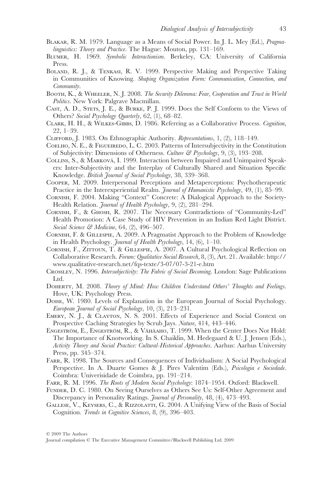- Blakar, R. M. 1979. Language as a Means of Social Power. In J. L. Mey (Ed.), *Pragmalinguistics: Theory and Practice*. The Hague: Mouton, pp. 131–169.
- Blumer, H. 1969. *Symbolic Interactionism*. Berkeley, CA: University of California Press.
- Boland, R. J., & Tenkasi, R. V. 1999. Perspective Making and Perspective Taking in Communities of Knowing. *Shaping Organization Form: Communication, Connection, and Community*.
- Booth, K., & Wheeler, N. J. 2008. *The Security Dilemma: Fear, Cooperation and Trust in World Politics*. New York: Palgrave Macmillan.
- Cast, A. D., Stets, J. E., & Burke, P. J. 1999. Does the Self Conform to the Views of Others? *Social Psychology Quarterly*, 62, (1), 68–82.
- Clark, H. H., & Wilkes-Gibbs, D. 1986. Referring as a Collaborative Process. *Cognition*, 22, 1–39.
- Clifford, J. 1983. On Ethnographic Authority. *Representations*, 1, (2), 118–149.
- Coelho, N. E., & Figueiredo, L. C. 2003. Patterns of Intersubjectivity in the Constitution of Subjectivity: Dimensions of Otherness. *Culture & Psychology*, 9, (3), 193–208.
- Collins, S., & Markova´, I. 1999. Interaction between Impaired and Unimpaired Speakers: Inter-Subjectivity and the Interplay of Culturally Shared and Situation Specific Knowledge. *British Journal of Social Psychology*, 38, 339–368.
- Cooper, M. 2009. Interpersonal Perceptions and Metaperceptions: Psychotherapeutic Practice in the Interexperiential Realm. *Journal of Humanistic Psychology*, 49, (1), 85–99.
- Cornish, F. 2004. Making "Context" Concrete: A Dialogical Approach to the Society-Health Relation. *Journal of Health Psychology*, 9, (2), 281–294.
- Cornish, F., & Ghosh, R. 2007. The Necessary Contradictions of "Community-Led" Health Promotion: A Case Study of HIV Prevention in an Indian Red Light District. *Social Science & Medicine*, 64, (2), 496–507.
- Cornish, F. & Gillespie, A. 2009. A Pragmatist Approach to the Problem of Knowledge in Health Psychology. *Journal of Health Psychology*, 14, (6), 1–10.
- Cornish, F., Zittoun, T. & Gillespie, A. 2007. A Cultural Psychological Reflection on Collaborative Research. *Forum: Qualitative Social Research*, 8, (3), Art. 21. Available: http:// www.qualitative-research.net/fqs-texte/3-07/07-3-21-e.htm
- Crossley, N. 1996. *Intersubjectivity: The Fabric of Social Becoming*. London: Sage Publications Ltd.
- DOHERTY, M. 2008. *Theory of Mind: How Children Understand Others' Thoughts and Feelings.* Hove, UK: Psychology Press.
- Doise, W. 1980. Levels of Explanation in the European Journal of Social Psychology. *European Journal of Social Psychology*, 10, (3), 213–231.
- Emery, N. J., & Clayton, N. S. 2001. Effects of Experience and Social Context on Prospective Caching Strategies by Scrub Jays. *Nature*, 414, 443–446.
- ENGESTRÖM, E., ENGESTRÖM, R., & VÄHÄAHO, T. 1999. When the Center Does Not Hold: The Importance of Knotworking. In S. Chaiklin, M. Hedegaard & U. J. Jensen (Eds.), *Activity Theory and Social Practice: Cultural-Historical Approaches*. Aarhus: Aarhus University Press, pp. 345–374.
- FARR, R. 1998. The Sources and Consequences of Individualism: A Social Psychological Perspective. In A. Duarte Gomes & J. Pires Valentim (Eds.), *Psicologia e Sociedade*. Coimbra: Univerisidade de Coimbra, pp. 191–214.
- Farr, R. M. 1996. *The Roots of Modern Social Psychology*: 1874–1954. Oxford: Blackwell.
- Funder, D. C. 1980. On Seeing Ourselves as Others See Us: Self-Other Agreement and Discrepancy in Personality Ratings. *Journal of Personality*, 48, (4), 473–493.
- Gallese, V., Keysers, C., & Rizzolatti, G. 2004. A Unifying View of the Basis of Social Cognition. *Trends in Cognitive Sciences*, 8, (9), 396–403.

Journal compilation © The Executive Management Committee/Blackwell Publishing Ltd. 2009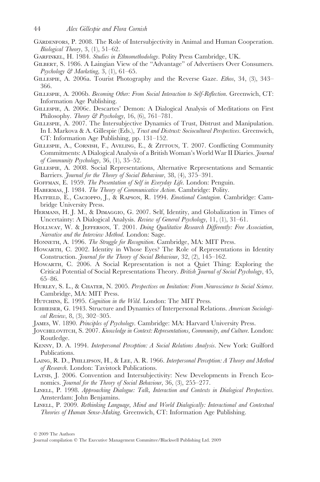- GÄRDENFORS, P. 2008. The Role of Intersubjectivity in Animal and Human Cooperation. *Biological Theory*, 3, (1), 51–62.
- Garfinkel, H. 1984. *Studies in Ethnomethodology*. Polity Press Cambridge, UK.
- Gilbert, S. 1986. A Laingian View of the "Advantage" of Advertisers Over Consumers. *Psychology & Marketing*, 3, (1), 61–65.
- Gillespie, A. 2006a. Tourist Photography and the Reverse Gaze. *Ethos*, 34, (3), 343– 366.
- Gillespie, A. 2006b. *Becoming Other: From Social Interaction to Self-Reflection*. Greenwich, CT: Information Age Publishing.
- Gillespie, A. 2006c. Descartes' Demon: A Dialogical Analysis of Meditations on First Philosophy. *Theory & Psychology*, 16, (6), 761–781.
- Gillespie, A. 2007. The Intersubjective Dynamics of Trust, Distrust and Manipulation. In I. Markova & A. Gillespie (Eds.), *Trust and Distrust: Sociocultural Perspectives*. Greenwich, CT: Information Age Publishing, pp. 131–152.
- Gillespie, A., Cornish, F., Aveling, E., & Zittoun, T. 2007. Conflicting Community Commitments: A Dialogical Analysis of a British Woman's World War II Diaries. *Journal of Community Psychology*, 36, (1), 35–52.
- Gillespie, A. 2008. Social Representations, Alternative Representations and Semantic Barriers. *Journal for the Theory of Social Behaviour*, 38, (4), 375–391.
- Goffman, E. 1959. *The Presentation of Self in Everyday Life*. London: Penguin.
- Habermas, J. 1984. *The Theory of Communicative Action*. Cambridge: Polity.
- Hatfield, E., Cacioppo, J., & Rapson, R. 1994. *Emotional Contagion*. Cambridge: Cambridge University Press.
- Hermans, H. J. M., & Dimaggio, G. 2007. Self, Identity, and Globalization in Times of Uncertainty: A Dialogical Analysis. *Review of General Psychology*, 11, (1), 31–61.
- Hollway, W. & Jefferson, T. 2001. *Doing Qualitative Research Differently: Free Association, Narrative and the Interview Method*. London: Sage.
- Honneth, A. 1996. *The Struggle for Recognition*. Cambridge, MA: MIT Press.
- Howarth, C. 2002. Identity in Whose Eyes? The Role of Representations in Identity Construction. *Journal for the Theory of Social Behaviour*, 32, (2), 145–162.
- Howarth, C. 2006. A Social Representation is not a Quiet Thing: Exploring the Critical Potential of Social Representations Theory. *British Journal of Social Psychology*, 45, 65–86.
- Hurley, S. L., & Chater, N. 2005. *Perspectives on Imitation: From Neuroscience to Social Science*. Cambridge, MA: MIT Press.
- HUTCHINS, E. 1995. *Cognition in the Wild*. London: The MIT Press.
- Ichheiser, G. 1943. Structure and Dynamics of Interpersonal Relations. *American Sociological Review*, 8, (3), 302–305.
- James, W. 1890. *Principles of Psychology*. Cambridge: MA: Harvard University Press.
- Jovchelovitch, S. 2007. *Knowledge in Context: Representations, Community, and Culture*. London: Routledge.
- Kenny, D. A. 1994. *Interpersonal Perception: A Social Relations Analysis*. New York: Guilford Publications.
- Laing, R. D., Phillipson, H., & Lee, A. R. 1966. *Interpersonal Perception: A Theory and Method of Research*. London: Tavistock Publications.
- Latsis, J. 2006. Convention and Intersubjectivity: New Developments in French Economics. *Journal for the Theory of Social Behaviour*, 36, (3), 255–277.
- Linell, P. 1998. *Approaching Dialogue: Talk, Interaction and Contexts in Dialogical Perspectives*. Amsterdam: John Benjamins.
- Linell, P. 2009. *Rethinking Language, Mind and World Dialogically: Interactional and Contextual Theories of Human Sense-Making*. Greenwich, CT: Information Age Publishing.

Journal compilation © The Executive Management Committee/Blackwell Publishing Ltd. 2009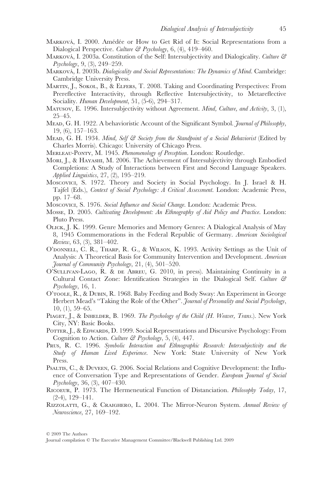- MARKOVÁ, I. 2000. Amédée or How to Get Rid of It: Social Representations from a Dialogical Perspective. *Culture & Psychology*, 6, (4), 419–460.
- Markova´, I. 2003a. Constitution of the Self: Intersubjectivity and Dialogicality. *Culture & Psychology*, 9, (3), 249–259.
- Markova´, I. 2003b. *Dialogicality and Social Representations: The Dynamics of Mind*. Cambridge: Cambridge University Press.
- Martin, J., Sokol, B., & Elfers, T. 2008. Taking and Coordinating Perspectives: From Prereflective Interactivity, through Reflective Intersubjectivity, to Metareflective Sociality. *Human Development*, 51, (5-6), 294–317.
- Matusov, E. 1996. Intersubjectivity without Agreement. *Mind, Culture, and Activity*, 3, (1), 25–45.
- Mead, G. H. 1922. A behavioristic Account of the Significant Symbol. *Journal of Philosophy*, 19, (6), 157–163.
- MEAD, G. H. 1934. *Mind, Self & Society from the Standpoint of a Social Behaviorist* (Edited by Charles Morris). Chicago: University of Chicago Press.
- Merleau-Ponty, M. 1945. *Phenomenology of Perception*. London: Routledge.
- Mori, J., & Hayashi, M. 2006. The Achievement of Intersubjectivity through Embodied Completions: A Study of Interactions between First and Second Language Speakers. *Applied Linguistics*, 27, (2), 195–219.
- Moscovici, S. 1972. Theory and Society in Social Psychology. In J. Israel & H. Tajfel (Eds.), *Context of Social Psychology: A Critical Assessment*. London: Academic Press, pp. 17–68.
- Moscovici, S. 1976. *Social Influence and Social Change*. London: Academic Press.
- Mosse, D. 2005. *Cultivating Development: An Ethnography of Aid Policy and Practice*. London: Pluto Press.
- Olick, J. K. 1999. Genre Memories and Memory Genres: A Dialogical Analysis of May 8, 1945 Commemorations in the Federal Republic of Germany. *American Sociological Review*, 63, (3), 381–402.
- O'donnell, C. R., Tharp, R. G., & Wilson, K. 1993. Activity Settings as the Unit of Analysis: A Theoretical Basis for Community Intervention and Development. *American Journal of Community Psychology*, 21, (4), 501–520.
- O'Sullivan-Lago, R. & de Abreu, G. 2010, in press). Maintaining Continuity in a Cultural Contact Zone: Identification Strategies in the Dialogical Self. *Culture & Psychology*, 16, 1.
- O'toole, R., & Dubin, R. 1968. Baby Feeding and Body Sway: An Experiment in George Herbert Mead's "Taking the Role of the Other". *Journal of Personality and Social Psychology*, 10, (1), 59–65.
- Piaget, J., & Inhelder, B. 1969. *The Psychology of the Child (H. Weaver, Trans*.). New York City, NY: Basic Books.
- POTTER, J., & EDWARDS, D. 1999. Social Representations and Discursive Psychology: From Cognition to Action. *Culture & Psychology*, 5, (4), 447.
- Prus, R. C. 1996. *Symbolic Interaction and Ethnographic Research: Intersubjectivity and the Study of Human Lived Experience*. New York: State University of New York Press.
- Psaltis, C., & Duveen, G. 2006. Social Relations and Cognitive Development: the Influence of Conversation Type and Representations of Gender. *European Journal of Social Psychology*, 36, (3), 407–430.
- Ricoeur, P. 1973. The Hermeneutical Function of Distanciation. *Philosophy Today*, 17, (2-4), 129–141.
- Rizzolatti, G., & Craighero, L. 2004. The Mirror-Neuron System. *Annual Review of Neuroscience*, 27, 169–192.

Journal compilation © The Executive Management Committee/Blackwell Publishing Ltd. 2009